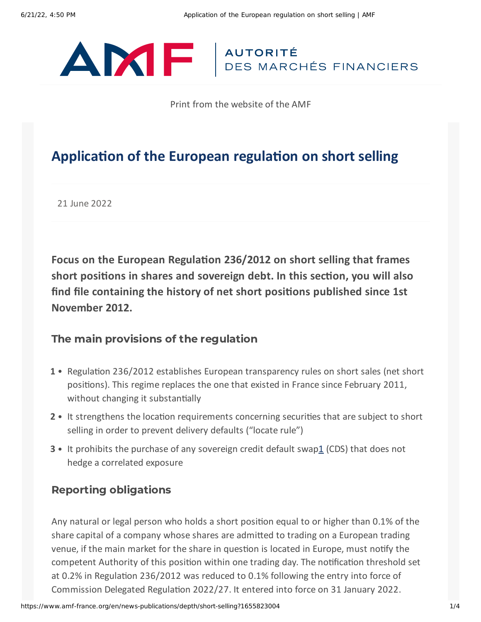# ANTE AUTORITÉ

Print from the website of the AMF

# **Application of the European regulation on short selling**

21 June 2022

**Focus on the European Regulation 236/2012 on short selling that frames short positions in shares and sovereign debt. In this section, you will also find file containing the history of net short positions published since 1st November 2012.**

### The main provisions of the regulation

- 1 Regulation 236/2012 establishes European transparency rules on short sales (net short positions). This regime replaces the one that existed in France since February 2011, without changing it substantially
- 2 It strengthens the location requirements concerning securities that are subject to short selling in order to prevent delivery defaults ("locate rule")
- <span id="page-0-0"></span>**3** • It prohibits the purchase of any sovereign credit default swap[1](#page-2-0) (CDS) that does not hedge a correlated exposure

## Reporting obligations

Any natural or legal person who holds a short position equal to or higher than 0.1% of the share capital of a company whose shares are admitted to trading on a European trading venue, if the main market for the share in question is located in Europe, must notify the competent Authority of this position within one trading day. The notification threshold set at 0.2% in Regulation 236/2012 was reduced to 0.1% following the entry into force of Commission Delegated Regulation 2022/27. It entered into force on 31 January 2022.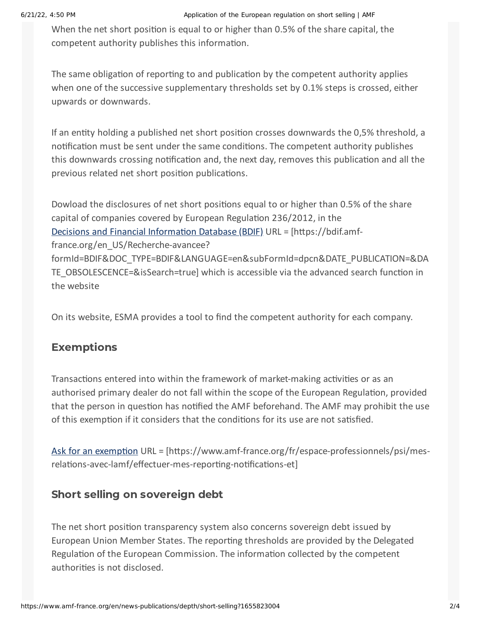When the net short position is equal to or higher than 0.5% of the share capital, the competent authority publishes this information.

The same obligation of reporting to and publication by the competent authority applies when one of the successive supplementary thresholds set by 0.1% steps is crossed, either upwards or downwards.

If an entity holding a published net short position crosses downwards the 0,5% threshold, a notification must be sent under the same conditions. The competent authority publishes this downwards crossing notification and, the next day, removes this publication and all the previous related net short position publications.

Dowload the disclosures of net short positions equal to or higher than 0.5% of the share capital of companies covered by European Regulation 236/2012, in the Decisions and Financial [Information](https://bdif.amf-france.org/en_US/Recherche-avancee?formId=BDIF&DOC_TYPE=BDIF&LANGUAGE=en&subFormId=dpcn&DATE_PUBLICATION=&DATE_OBSOLESCENCE=&isSearch=true) Database (BDIF) URL = [https://bdif.amffrance.org/en\_US/Recherche-avancee? formId=BDIF&DOC\_TYPE=BDIF&LANGUAGE=en&subFormId=dpcn&DATE\_PUBLICATION=&DA TE\_OBSOLESCENCE=&isSearch=true] which is accessible via the advanced search function in the website

On its website, ESMA provides a tool to find the competent authority for each company.

### Exemptions

Transactions entered into within the framework of market-making activities or as an authorised primary dealer do not fall within the scope of the European Regulation, provided that the person in question has notified the AMF beforehand. The AMF may prohibit the use of this exemption if it considers that the conditions for its use are not satisfied.

Ask for an [exemption](https://www.amf-france.org/fr/espace-professionnels/psi/mes-relations-avec-lamf/effectuer-mes-reporting-notifications-et) URL = [https://www.amf-france.org/fr/espace-professionnels/psi/mesrelations-avec-lamf/effectuer-mes-reporting-notifications-et]

#### Short selling on sovereign debt

The net short position transparency system also concerns sovereign debt issued by European Union Member States. The reporting thresholds are provided by the Delegated Regulation of the European Commission. The information collected by the competent authorities is not disclosed.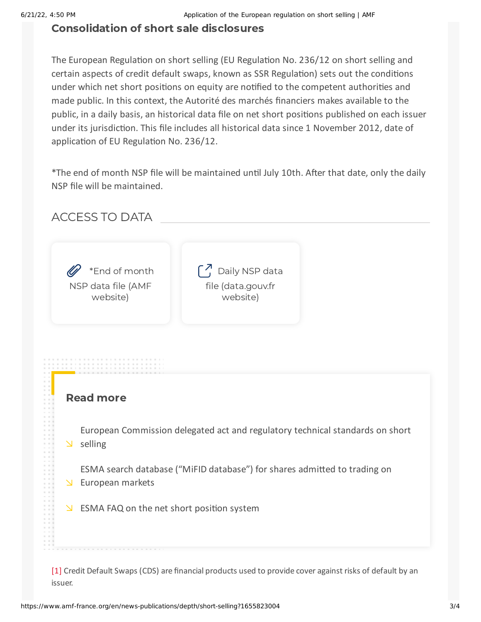#### Consolidation of short sale disclosures

The European Regulation on short selling (EU Regulation No. 236/12 on short selling and certain aspects of credit default swaps, known as SSR Regulation) sets out the conditions under which net short positions on equity are notified to the competent authorities and made public. In this context, the Autorité des marchés financiers makes available to the public, in a daily basis, an historical data file on net short positions published on each issuer under its jurisdiction. This file includes all historical data since 1 November 2012, date of application of EU Regulation No. 236/12.

\*The end of month NSP file will be maintained until July 10th. After that date, only the daily NSP file will be maintained.

ACCESS TO DATA



#### Read more

European [Commission](https://ec.europa.eu/info/law/short-selling-regulation-eu-no-236-2012) delegated act and regulatory technical standards on short  $\vee$  selling

ESMA search database ("MiFID [database"\)](https://registers.esma.europa.eu/publication/searchRegister?core=esma_registers_mifid_sha) for shares admitted to trading on European markets

 $\Sigma$  ESMA FAQ on the net short [position](https://www.amf-france.org/sites/default/files/2020-02/2013-159.pdf) system

<span id="page-2-0"></span>[\[1\]](#page-0-0) Credit Default Swaps (CDS) are financial products used to provide cover against risks of default by an issuer.